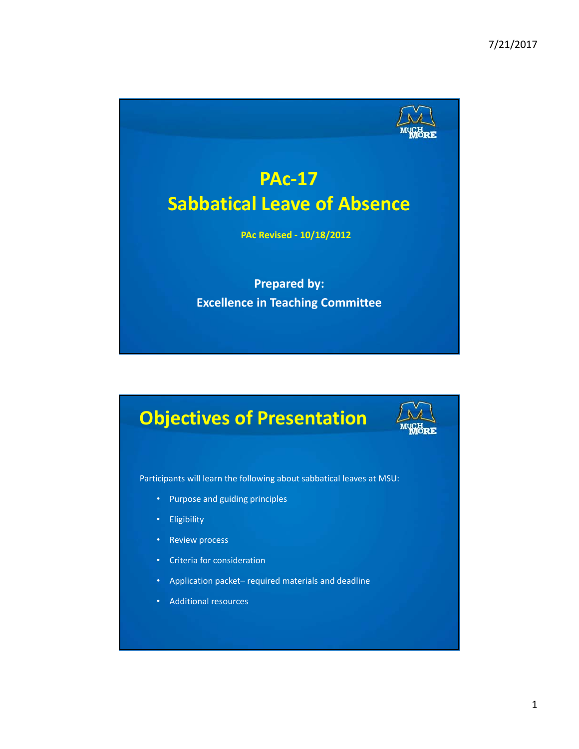

# **Objectives of Presentation**



Participants will learn the following about sabbatical leaves at MSU:

- Purpose and guiding principles
- Eligibility
- Review process
- Criteria for consideration
- Application packet– required materials and deadline
- Additional resources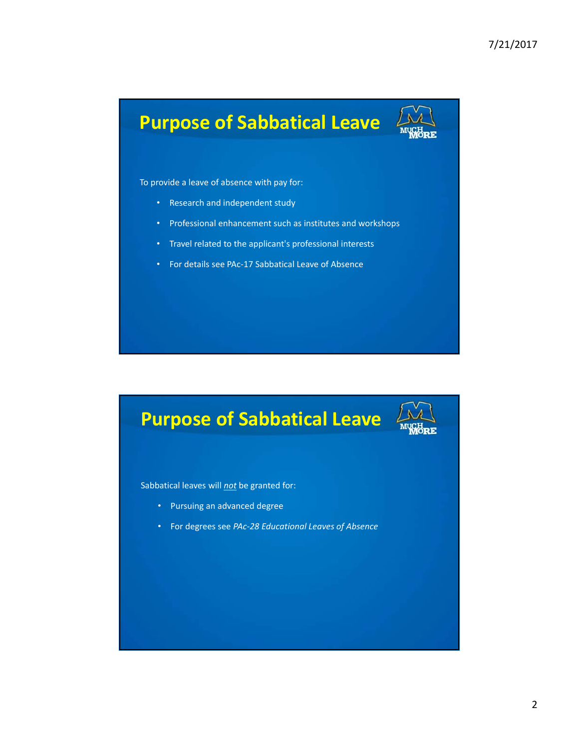### **Purpose of Sabbatical Leave**



To provide a leave of absence with pay for:

- Research and independent study
- Professional enhancement such as institutes and workshops
- Travel related to the applicant's professional interests
- For details see PAc‐17 Sabbatical Leave of Absence

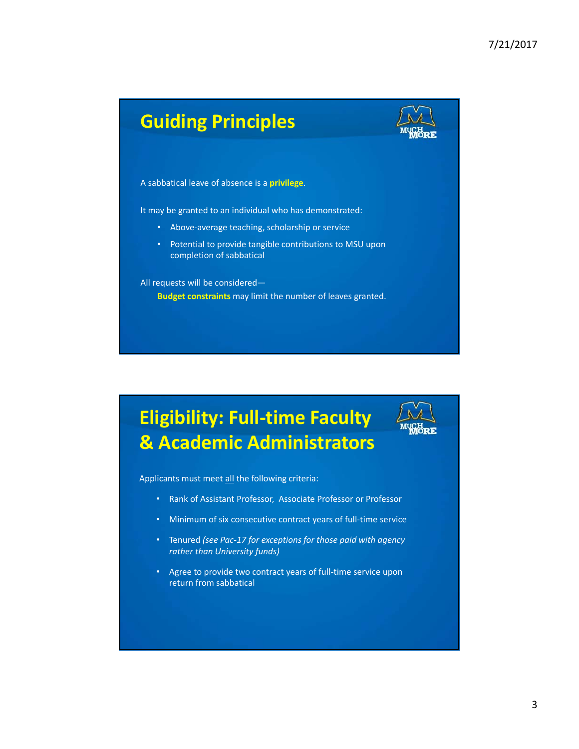

#### **Eligibility: Full‐time Faculty & Academic Administrators**

Applicants must meet all the following criteria:

- Rank of Assistant Professor, Associate Professor or Professor
- Minimum of six consecutive contract years of full‐time service
- Tenured *(see Pac‐17 for exceptions for those paid with agency rather than University funds)*
- Agree to provide two contract years of full‐time service upon return from sabbatical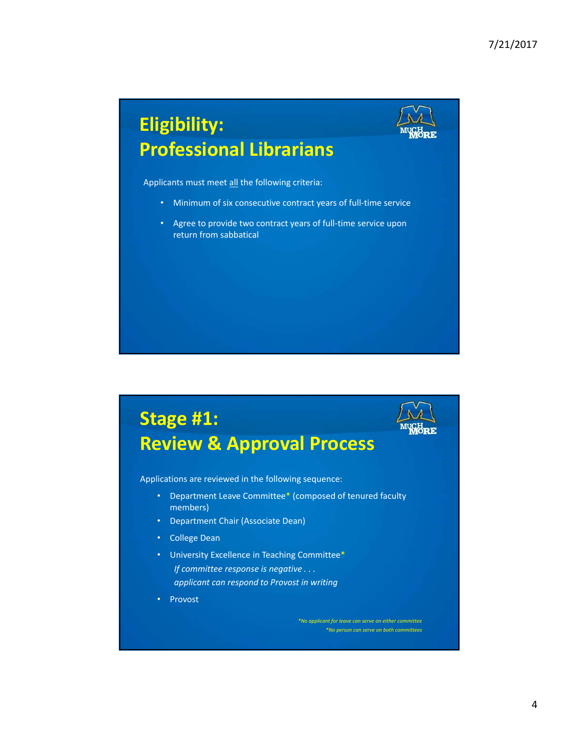

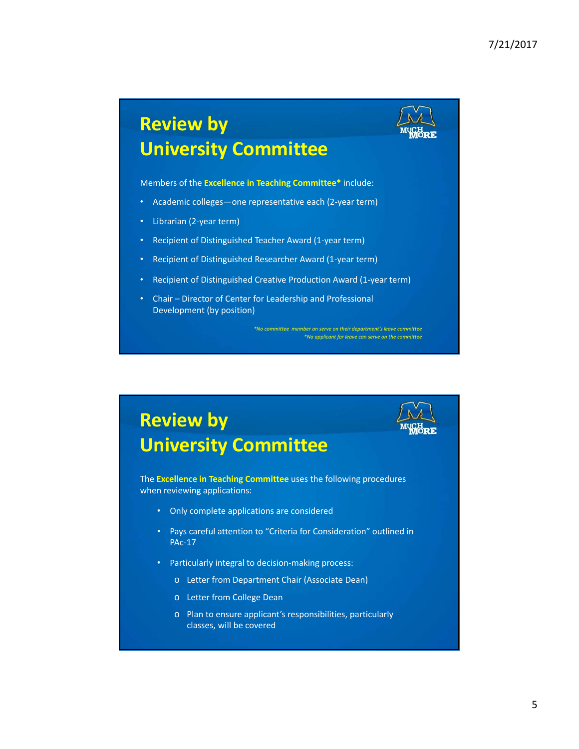#### **Review by University Committee**  Members of the **Excellence in Teaching Committee\*** include: • Academic colleges—one representative each (2‐year term) • Librarian (2‐year term) • Recipient of Distinguished Teacher Award (1‐year term) • Recipient of Distinguished Researcher Award (1‐year term) • Recipient of Distinguished Creative Production Award (1‐year term) • Chair – Director of Center for Leadership and Professional Development (by position) *\*No committee member an serve on their department's leave committee \*No applicant for leave can serve on the committee*

#### **Review by University Committee**



The **Excellence in Teaching Committee** uses the following procedures when reviewing applications:

- Only complete applications are considered
- Pays careful attention to "Criteria for Consideration" outlined in PAc‐17
- Particularly integral to decision‐making process:
	- o Letter from Department Chair (Associate Dean)
	- o Letter from College Dean
	- o Plan to ensure applicant's responsibilities, particularly classes, will be covered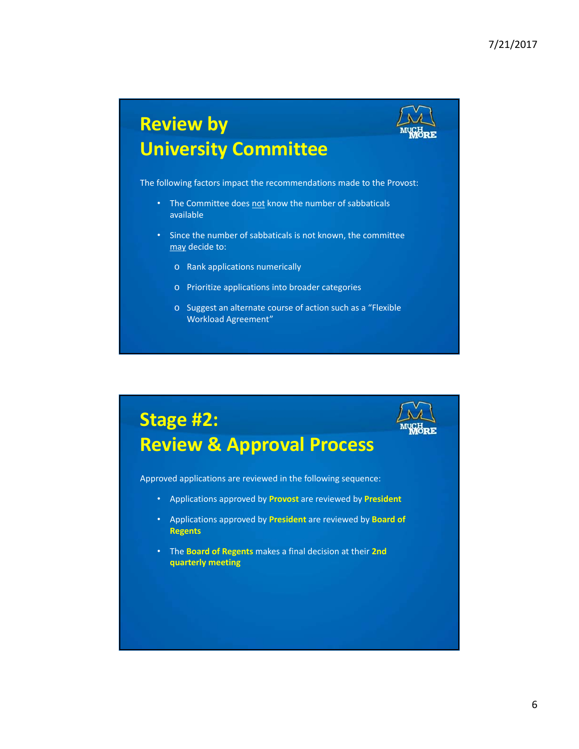# **Review by University Committee**

The following factors impact the recommendations made to the Provost:

- The Committee does not know the number of sabbaticals available
- Since the number of sabbaticals is not known, the committee may decide to:
	- o Rank applications numerically
	- o Prioritize applications into broader categories
	- o Suggest an alternate course of action such as a "Flexible Workload Agreement"

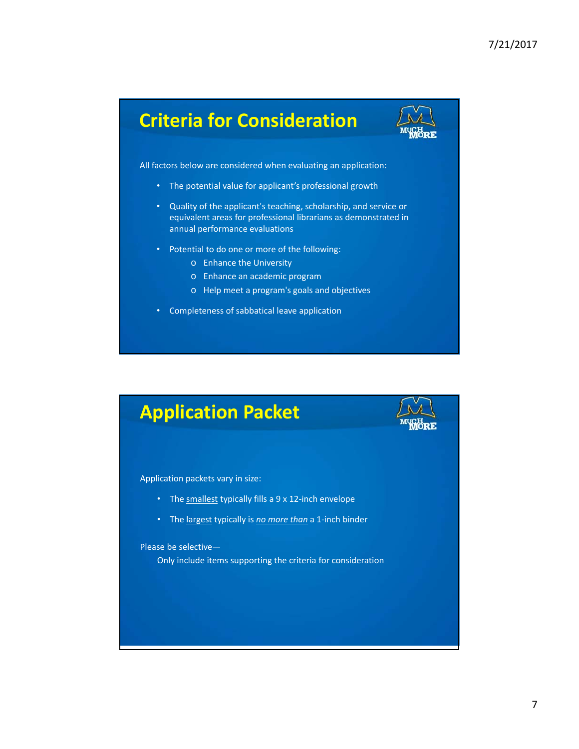#### **Criteria for Consideration**



All factors below are considered when evaluating an application:

- The potential value for applicant's professional growth
- Quality of the applicant's teaching, scholarship, and service or equivalent areas for professional librarians as demonstrated in annual performance evaluations
- Potential to do one or more of the following:
	- o Enhance the University
	- o Enhance an academic program
	- o Help meet a program's goals and objectives
- Completeness of sabbatical leave application

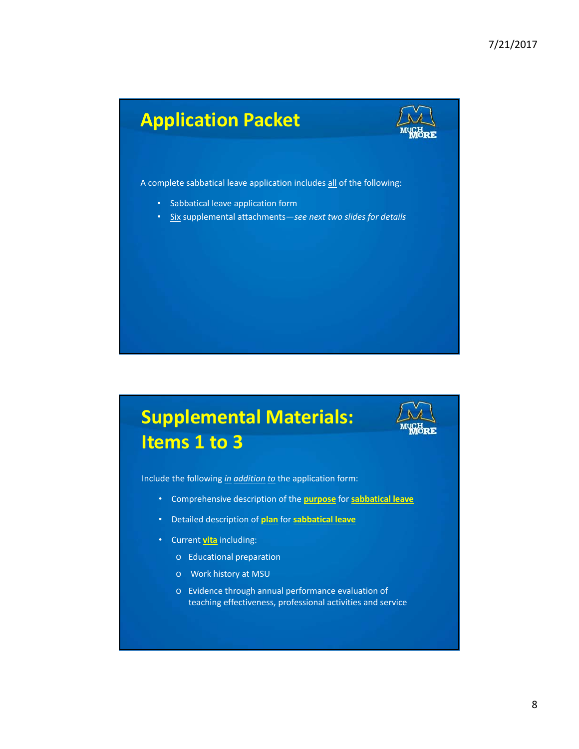# **Application Packet**  A complete sabbatical leave application includes all of the following: • Sabbatical leave application form • Six supplemental attachments—*see next two slides for details*

# **Supplemental Materials: Items 1 to 3** Include the following *in addition to* the application form: • Comprehensive description of the **purpose** for **sabbatical leave** • Detailed description of **plan** for **sabbatical leave** • Current **vita** including: o Educational preparation o Work history at MSU o Evidence through annual performance evaluation of teaching effectiveness, professional activities and service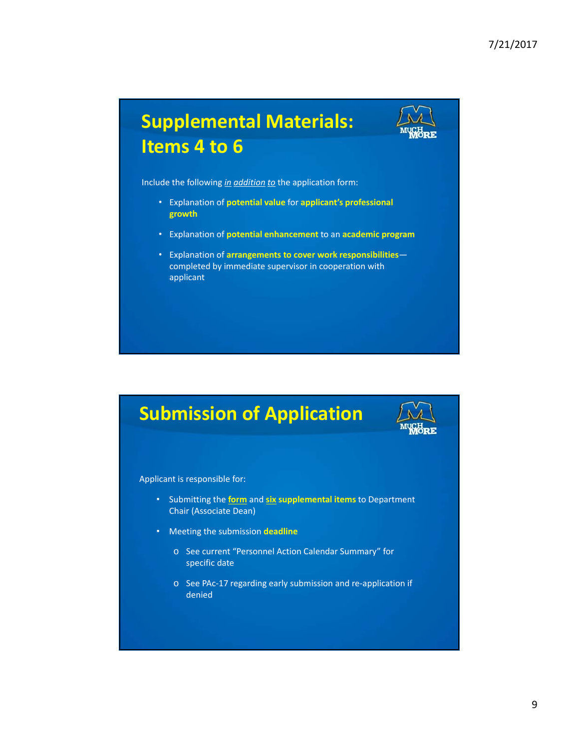# **Supplemental Materials: Items 4 to 6**

Include the following *in addition to* the application form:

- Explanation of **potential value** for **applicant's professional growth**
- Explanation of **potential enhancement** to an **academic program**
- Explanation of **arrangements to cover work responsibilities** completed by immediate supervisor in cooperation with applicant

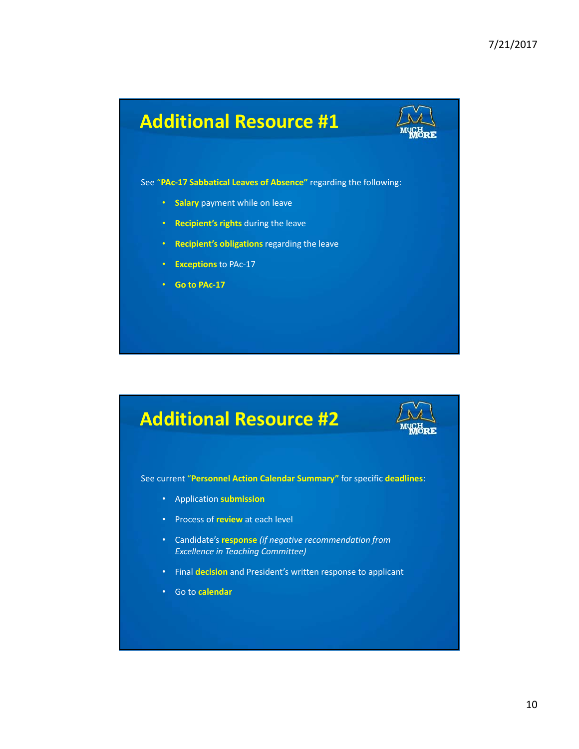## **Additional Resource #1**



See "**PAc‐17 Sabbatical Leaves of Absence"** regarding the following:

- **Salary** payment while on leave
- **Recipient's rights** during the leave
- **Recipient's obligations** regarding the leave
- **Exceptions** to PAc-17
- **Go to PAc‐17**